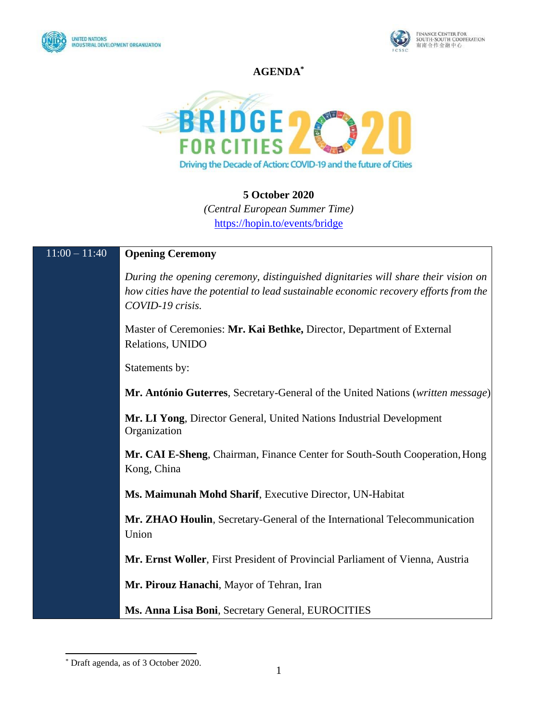



## **AGENDA\***



## **5 October 2020**

*(Central European Summer Time)* <https://hopin.to/events/bridge>

# 11:00 – 11:40 **Opening Ceremony**

*During the opening ceremony, distinguished dignitaries will share their vision on how cities have the potential to lead sustainable economic recovery efforts from the COVID-19 crisis.*

Master of Ceremonies: **Mr. Kai Bethke,** Director, Department of External Relations, UNIDO

Statements by:

**Mr. António Guterres**, Secretary-General of the United Nations (*written message*)

**Mr. LI Yong**, Director General, United Nations Industrial Development Organization

**Mr. CAI E-Sheng**, Chairman, Finance Center for South-South Cooperation,Hong Kong, China

**Ms. Maimunah Mohd Sharif**, Executive Director, UN-Habitat

**Mr. ZHAO Houlin**, Secretary-General of the International Telecommunication Union

**Mr. Ernst Woller**, First President of Provincial Parliament of Vienna, Austria

**Mr. Pirouz Hanachi**, Mayor of Tehran, Iran

**Ms. Anna Lisa Boni**, Secretary General, EUROCITIES

<sup>\*</sup> Draft agenda, as of 3 October 2020.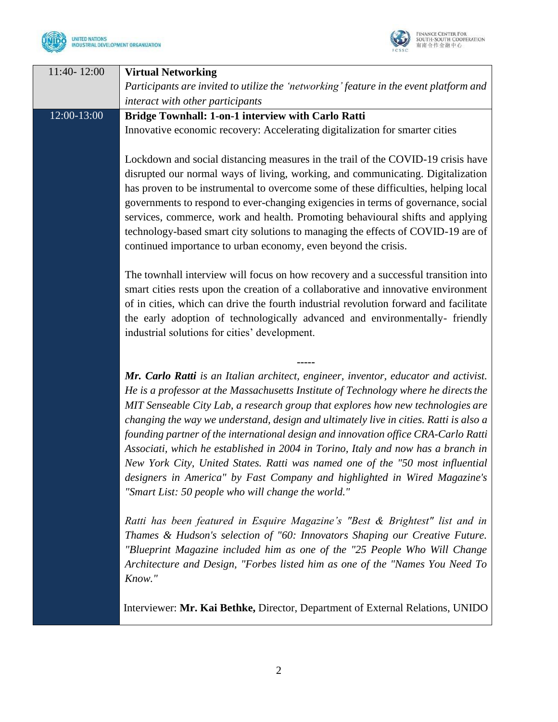



| 11:40-12:00 | <b>Virtual Networking</b>                                                                                                                                         |
|-------------|-------------------------------------------------------------------------------------------------------------------------------------------------------------------|
|             | Participants are invited to utilize the 'networking' feature in the event platform and                                                                            |
|             | interact with other participants                                                                                                                                  |
| 12:00-13:00 | <b>Bridge Townhall: 1-on-1 interview with Carlo Ratti</b>                                                                                                         |
|             | Innovative economic recovery: Accelerating digitalization for smarter cities                                                                                      |
|             |                                                                                                                                                                   |
|             | Lockdown and social distancing measures in the trail of the COVID-19 crisis have                                                                                  |
|             | disrupted our normal ways of living, working, and communicating. Digitalization                                                                                   |
|             | has proven to be instrumental to overcome some of these difficulties, helping local                                                                               |
|             | governments to respond to ever-changing exigencies in terms of governance, social                                                                                 |
|             | services, commerce, work and health. Promoting behavioural shifts and applying                                                                                    |
|             | technology-based smart city solutions to managing the effects of COVID-19 are of                                                                                  |
|             | continued importance to urban economy, even beyond the crisis.                                                                                                    |
|             | The townhall interview will focus on how recovery and a successful transition into                                                                                |
|             | smart cities rests upon the creation of a collaborative and innovative environment                                                                                |
|             | of in cities, which can drive the fourth industrial revolution forward and facilitate                                                                             |
|             | the early adoption of technologically advanced and environmentally-friendly                                                                                       |
|             | industrial solutions for cities' development.                                                                                                                     |
|             |                                                                                                                                                                   |
|             |                                                                                                                                                                   |
|             | Mr. Carlo Ratti is an Italian architect, engineer, inventor, educator and activist.                                                                               |
|             | He is a professor at the Massachusetts Institute of Technology where he directs the                                                                               |
|             | MIT Senseable City Lab, a research group that explores how new technologies are                                                                                   |
|             | changing the way we understand, design and ultimately live in cities. Ratti is also a                                                                             |
|             | founding partner of the international design and innovation office CRA-Carlo Ratti                                                                                |
|             | Associati, which he established in 2004 in Torino, Italy and now has a branch in<br>New York City, United States. Ratti was named one of the "50 most influential |
|             | designers in America" by Fast Company and highlighted in Wired Magazine's                                                                                         |
|             | "Smart List: 50 people who will change the world."                                                                                                                |
|             |                                                                                                                                                                   |
|             | Ratti has been featured in Esquire Magazine's "Best & Brightest" list and in                                                                                      |
|             | Thames & Hudson's selection of "60: Innovators Shaping our Creative Future.                                                                                       |
|             | "Blueprint Magazine included him as one of the "25 People Who Will Change                                                                                         |
|             | Architecture and Design, "Forbes listed him as one of the "Names You Need To                                                                                      |
|             | Know."                                                                                                                                                            |
|             |                                                                                                                                                                   |
|             | Interviewer: Mr. Kai Bethke, Director, Department of External Relations, UNIDO                                                                                    |
|             |                                                                                                                                                                   |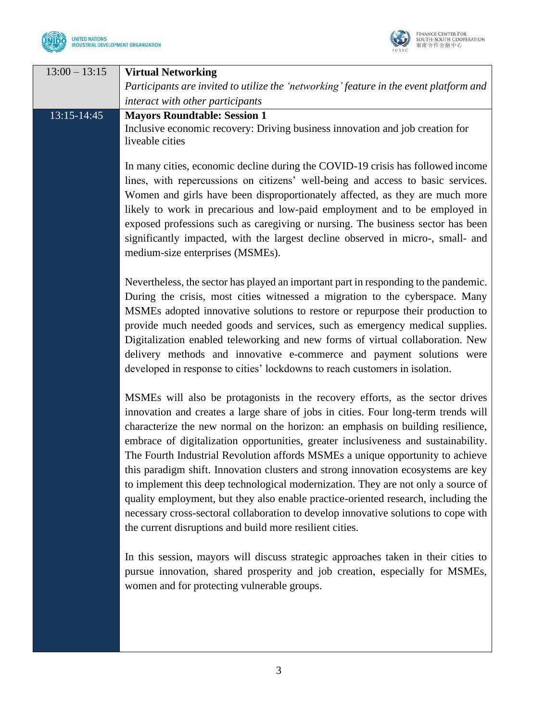



| $13:00 - 13:15$ | <b>Virtual Networking</b><br>Participants are invited to utilize the 'networking' feature in the event platform and<br>interact with other participants                                                                                                                                                                                                                                                                                                                                                                                                                                                                                                                                                                                                                                                                                           |
|-----------------|---------------------------------------------------------------------------------------------------------------------------------------------------------------------------------------------------------------------------------------------------------------------------------------------------------------------------------------------------------------------------------------------------------------------------------------------------------------------------------------------------------------------------------------------------------------------------------------------------------------------------------------------------------------------------------------------------------------------------------------------------------------------------------------------------------------------------------------------------|
| 13:15-14:45     | <b>Mayors Roundtable: Session 1</b><br>Inclusive economic recovery: Driving business innovation and job creation for<br>liveable cities                                                                                                                                                                                                                                                                                                                                                                                                                                                                                                                                                                                                                                                                                                           |
|                 | In many cities, economic decline during the COVID-19 crisis has followed income<br>lines, with repercussions on citizens' well-being and access to basic services.<br>Women and girls have been disproportionately affected, as they are much more<br>likely to work in precarious and low-paid employment and to be employed in<br>exposed professions such as caregiving or nursing. The business sector has been<br>significantly impacted, with the largest decline observed in micro-, small- and<br>medium-size enterprises (MSMEs).                                                                                                                                                                                                                                                                                                        |
|                 | Nevertheless, the sector has played an important part in responding to the pandemic.<br>During the crisis, most cities witnessed a migration to the cyberspace. Many<br>MSMEs adopted innovative solutions to restore or repurpose their production to<br>provide much needed goods and services, such as emergency medical supplies.<br>Digitalization enabled teleworking and new forms of virtual collaboration. New<br>delivery methods and innovative e-commerce and payment solutions were<br>developed in response to cities' lockdowns to reach customers in isolation.                                                                                                                                                                                                                                                                   |
|                 | MSMEs will also be protagonists in the recovery efforts, as the sector drives<br>innovation and creates a large share of jobs in cities. Four long-term trends will<br>characterize the new normal on the horizon: an emphasis on building resilience,<br>embrace of digitalization opportunities, greater inclusiveness and sustainability.<br>The Fourth Industrial Revolution affords MSMEs a unique opportunity to achieve<br>this paradigm shift. Innovation clusters and strong innovation ecosystems are key<br>to implement this deep technological modernization. They are not only a source of<br>quality employment, but they also enable practice-oriented research, including the<br>necessary cross-sectoral collaboration to develop innovative solutions to cope with<br>the current disruptions and build more resilient cities. |
|                 | In this session, mayors will discuss strategic approaches taken in their cities to<br>pursue innovation, shared prosperity and job creation, especially for MSMEs,<br>women and for protecting vulnerable groups.                                                                                                                                                                                                                                                                                                                                                                                                                                                                                                                                                                                                                                 |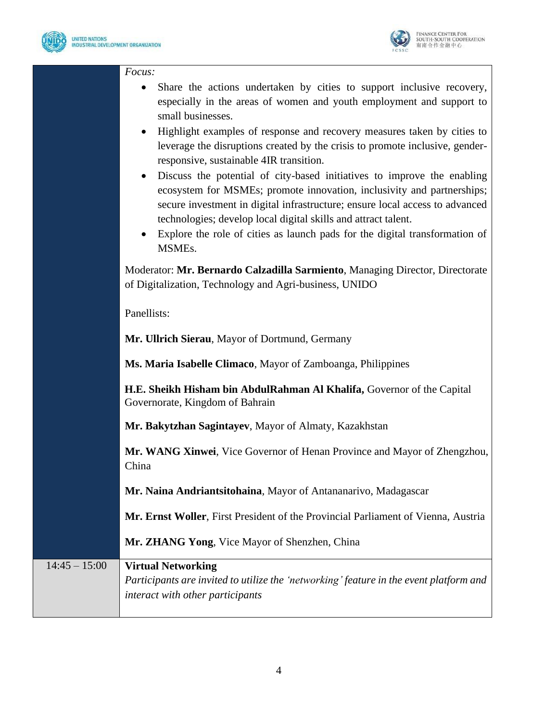

*Focus:*



|                 | Share the actions undertaken by cities to support inclusive recovery,<br>especially in the areas of women and youth employment and support to<br>small businesses.<br>Highlight examples of response and recovery measures taken by cities to<br>leverage the disruptions created by the crisis to promote inclusive, gender-<br>responsive, sustainable 4IR transition.<br>Discuss the potential of city-based initiatives to improve the enabling<br>ecosystem for MSMEs; promote innovation, inclusivity and partnerships;<br>secure investment in digital infrastructure; ensure local access to advanced<br>technologies; develop local digital skills and attract talent.<br>Explore the role of cities as launch pads for the digital transformation of |
|-----------------|----------------------------------------------------------------------------------------------------------------------------------------------------------------------------------------------------------------------------------------------------------------------------------------------------------------------------------------------------------------------------------------------------------------------------------------------------------------------------------------------------------------------------------------------------------------------------------------------------------------------------------------------------------------------------------------------------------------------------------------------------------------|
|                 | MSMEs.                                                                                                                                                                                                                                                                                                                                                                                                                                                                                                                                                                                                                                                                                                                                                         |
|                 | Moderator: Mr. Bernardo Calzadilla Sarmiento, Managing Director, Directorate<br>of Digitalization, Technology and Agri-business, UNIDO                                                                                                                                                                                                                                                                                                                                                                                                                                                                                                                                                                                                                         |
|                 | Panellists:                                                                                                                                                                                                                                                                                                                                                                                                                                                                                                                                                                                                                                                                                                                                                    |
|                 | Mr. Ullrich Sierau, Mayor of Dortmund, Germany                                                                                                                                                                                                                                                                                                                                                                                                                                                                                                                                                                                                                                                                                                                 |
|                 | Ms. Maria Isabelle Climaco, Mayor of Zamboanga, Philippines                                                                                                                                                                                                                                                                                                                                                                                                                                                                                                                                                                                                                                                                                                    |
|                 | H.E. Sheikh Hisham bin AbdulRahman Al Khalifa, Governor of the Capital<br>Governorate, Kingdom of Bahrain                                                                                                                                                                                                                                                                                                                                                                                                                                                                                                                                                                                                                                                      |
|                 | Mr. Bakytzhan Sagintayev, Mayor of Almaty, Kazakhstan                                                                                                                                                                                                                                                                                                                                                                                                                                                                                                                                                                                                                                                                                                          |
|                 | Mr. WANG Xinwei, Vice Governor of Henan Province and Mayor of Zhengzhou,<br>China                                                                                                                                                                                                                                                                                                                                                                                                                                                                                                                                                                                                                                                                              |
|                 | Mr. Naina Andriantsitohaina, Mayor of Antananarivo, Madagascar                                                                                                                                                                                                                                                                                                                                                                                                                                                                                                                                                                                                                                                                                                 |
|                 | Mr. Ernst Woller, First President of the Provincial Parliament of Vienna, Austria                                                                                                                                                                                                                                                                                                                                                                                                                                                                                                                                                                                                                                                                              |
|                 | Mr. ZHANG Yong, Vice Mayor of Shenzhen, China                                                                                                                                                                                                                                                                                                                                                                                                                                                                                                                                                                                                                                                                                                                  |
| $14:45 - 15:00$ | <b>Virtual Networking</b><br>Participants are invited to utilize the 'networking' feature in the event platform and<br>interact with other participants                                                                                                                                                                                                                                                                                                                                                                                                                                                                                                                                                                                                        |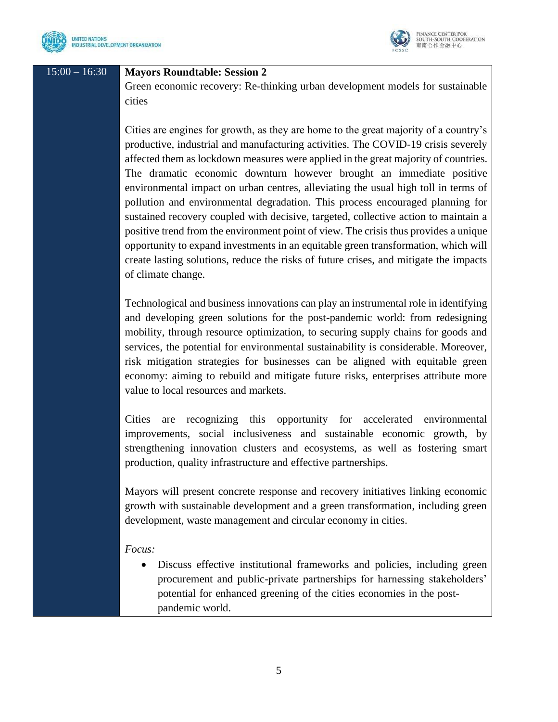



## 15:00 – 16:30 **Mayors Roundtable: Session 2**

Green economic recovery: Re-thinking urban development models for sustainable cities

Cities are engines for growth, as they are home to the great majority of a country's productive, industrial and manufacturing activities. The COVID-19 crisis severely affected them as lockdown measures were applied in the great majority of countries. The dramatic economic downturn however brought an immediate positive environmental impact on urban centres, alleviating the usual high toll in terms of pollution and environmental degradation. This process encouraged planning for sustained recovery coupled with decisive, targeted, collective action to maintain a positive trend from the environment point of view. The crisis thus provides a unique opportunity to expand investments in an equitable green transformation, which will create lasting solutions, reduce the risks of future crises, and mitigate the impacts of climate change.

Technological and business innovations can play an instrumental role in identifying and developing green solutions for the post-pandemic world: from redesigning mobility, through resource optimization, to securing supply chains for goods and services, the potential for environmental sustainability is considerable. Moreover, risk mitigation strategies for businesses can be aligned with equitable green economy: aiming to rebuild and mitigate future risks, enterprises attribute more value to local resources and markets.

Cities are recognizing this opportunity for accelerated environmental improvements, social inclusiveness and sustainable economic growth, by strengthening innovation clusters and ecosystems, as well as fostering smart production, quality infrastructure and effective partnerships.

Mayors will present concrete response and recovery initiatives linking economic growth with sustainable development and a green transformation, including green development, waste management and circular economy in cities.

## *Focus:*

• Discuss effective institutional frameworks and policies, including green procurement and public-private partnerships for harnessing stakeholders' potential for enhanced greening of the cities economies in the postpandemic world.